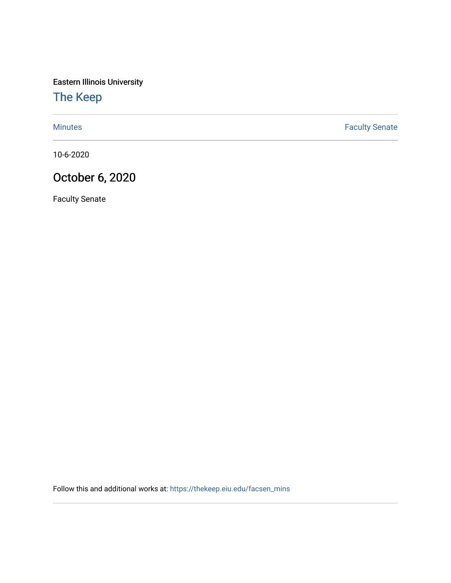Eastern Illinois University

## [The Keep](https://thekeep.eiu.edu/)

[Minutes](https://thekeep.eiu.edu/facsen_mins) **Faculty Senate** 

10-6-2020

## October 6, 2020

Faculty Senate

Follow this and additional works at: [https://thekeep.eiu.edu/facsen\\_mins](https://thekeep.eiu.edu/facsen_mins?utm_source=thekeep.eiu.edu%2Ffacsen_mins%2F1141&utm_medium=PDF&utm_campaign=PDFCoverPages)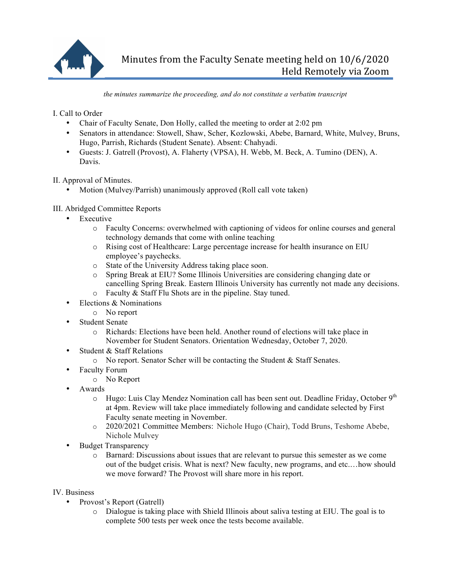

*the minutes summarize the proceeding, and do not constitute a verbatim transcript*

I. Call to Order

- Chair of Faculty Senate, Don Holly, called the meeting to order at 2:02 pm
- Senators in attendance: Stowell, Shaw, Scher, Kozlowski, Abebe, Barnard, White, Mulvey, Bruns, Hugo, Parrish, Richards (Student Senate). Absent: Chahyadi.
- Guests: J. Gatrell (Provost), A. Flaherty (VPSA), H. Webb, M. Beck, A. Tumino (DEN), A. Davis.

II. Approval of Minutes.

• Motion (Mulvey/Parrish) unanimously approved (Roll call vote taken)

## III. Abridged Committee Reports

- Executive
	- o Faculty Concerns: overwhelmed with captioning of videos for online courses and general technology demands that come with online teaching
	- o Rising cost of Healthcare: Large percentage increase for health insurance on EIU employee's paychecks.
	- o State of the University Address taking place soon.
	- o Spring Break at EIU? Some Illinois Universities are considering changing date or cancelling Spring Break. Eastern Illinois University has currently not made any decisions.
	- o Faculty & Staff Flu Shots are in the pipeline. Stay tuned.
- Elections & Nominations
	- o No report
- Student Senate
	- o Richards: Elections have been held. Another round of elections will take place in November for Student Senators. Orientation Wednesday, October 7, 2020.
- Student & Staff Relations
	- o No report. Senator Scher will be contacting the Student & Staff Senates.
- Faculty Forum
	- o No Report
- Awards
	- $\circ$  Hugo: Luis Clay Mendez Nomination call has been sent out. Deadline Friday, October 9<sup>th</sup> at 4pm. Review will take place immediately following and candidate selected by First Faculty senate meeting in November.
	- o 2020/2021 Committee Members: Nichole Hugo (Chair), Todd Bruns, Teshome Abebe, Nichole Mulvey
- **Budget Transparency** 
	- o Barnard: Discussions about issues that are relevant to pursue this semester as we come out of the budget crisis. What is next? New faculty, new programs, and etc.…how should we move forward? The Provost will share more in his report.
- IV. Business
	- Provost's Report (Gatrell)
		- o Dialogue is taking place with Shield Illinois about saliva testing at EIU. The goal is to complete 500 tests per week once the tests become available.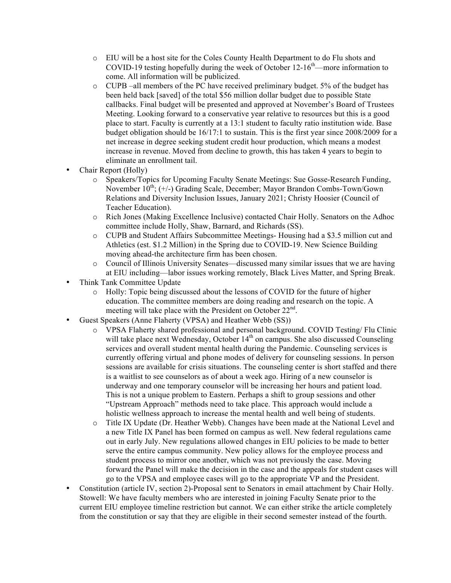- o EIU will be a host site for the Coles County Health Department to do Flu shots and COVID-19 testing hopefully during the week of October  $12{\text -}16^{\text{th}}$ —more information to come. All information will be publicized.
- $\circ$  CUPB –all members of the PC have received preliminary budget. 5% of the budget has been held back [saved] of the total \$56 million dollar budget due to possible State callbacks. Final budget will be presented and approved at November's Board of Trustees Meeting. Looking forward to a conservative year relative to resources but this is a good place to start. Faculty is currently at a 13:1 student to faculty ratio institution wide. Base budget obligation should be 16/17:1 to sustain. This is the first year since 2008/2009 for a net increase in degree seeking student credit hour production, which means a modest increase in revenue. Moved from decline to growth, this has taken 4 years to begin to eliminate an enrollment tail.
- Chair Report (Holly)
	- o Speakers/Topics for Upcoming Faculty Senate Meetings: Sue Gosse-Research Funding, November  $10^{th}$ ; (+/-) Grading Scale, December; Mayor Brandon Combs-Town/Gown Relations and Diversity Inclusion Issues, January 2021; Christy Hoosier (Council of Teacher Education).
	- o Rich Jones (Making Excellence Inclusive) contacted Chair Holly. Senators on the Adhoc committee include Holly, Shaw, Barnard, and Richards (SS).
	- o CUPB and Student Affairs Subcommittee Meetings- Housing had a \$3.5 million cut and Athletics (est. \$1.2 Million) in the Spring due to COVID-19. New Science Building moving ahead-the architecture firm has been chosen.
	- o Council of Illinois University Senates—discussed many similar issues that we are having at EIU including—labor issues working remotely, Black Lives Matter, and Spring Break.
- Think Tank Committee Update
	- o Holly: Topic being discussed about the lessons of COVID for the future of higher education. The committee members are doing reading and research on the topic. A meeting will take place with the President on October  $22<sup>nd</sup>$ .
- Guest Speakers (Anne Flaherty (VPSA) and Heather Webb (SS))
	- o VPSA Flaherty shared professional and personal background. COVID Testing/ Flu Clinic will take place next Wednesday, October  $14<sup>th</sup>$  on campus. She also discussed Counseling services and overall student mental health during the Pandemic. Counseling services is currently offering virtual and phone modes of delivery for counseling sessions. In person sessions are available for crisis situations. The counseling center is short staffed and there is a waitlist to see counselors as of about a week ago. Hiring of a new counselor is underway and one temporary counselor will be increasing her hours and patient load. This is not a unique problem to Eastern. Perhaps a shift to group sessions and other "Upstream Approach" methods need to take place. This approach would include a holistic wellness approach to increase the mental health and well being of students.
	- o Title IX Update (Dr. Heather Webb). Changes have been made at the National Level and a new Title IX Panel has been formed on campus as well. New federal regulations came out in early July. New regulations allowed changes in EIU policies to be made to better serve the entire campus community. New policy allows for the employee process and student process to mirror one another, which was not previously the case. Moving forward the Panel will make the decision in the case and the appeals for student cases will go to the VPSA and employee cases will go to the appropriate VP and the President.
- Constitution (article IV, section 2)-Proposal sent to Senators in email attachment by Chair Holly. Stowell: We have faculty members who are interested in joining Faculty Senate prior to the current EIU employee timeline restriction but cannot. We can either strike the article completely from the constitution or say that they are eligible in their second semester instead of the fourth.